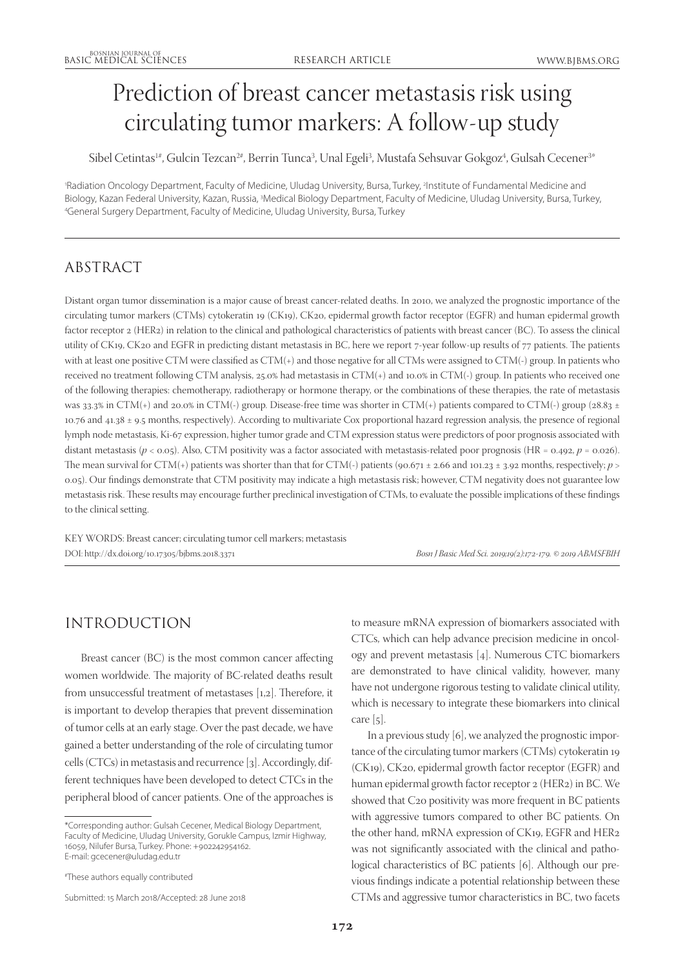# Prediction of breast cancer metastasis risk using circulating tumor markers: A follow-up study

Sibel Cetintas1#, Gulcin Tezcan<sup>2#</sup>, Berrin Tunca<sup>3</sup>, Unal Egeli<sup>3</sup>, Mustafa Sehsuvar Gokgoz<sup>4</sup>, Gulsah Cecener<sup>3\*</sup>

'Radiation Oncology Department, Faculty of Medicine, Uludag University, Bursa, Turkey, <sup>2</sup>Institute of Fundamental Medicine and Biology, Kazan Federal University, Kazan, Russia, 3Medical Biology Department, Faculty of Medicine, Uludag University, Bursa, Turkey,<br>4General Surgery Department, Faculty of Medicine, Uludag University, Bursa, Turkey General Surgery Department, Faculty of Medicine, Uludag University, Bursa, Turkey

# ABSTRACT

Distant organ tumor dissemination is a major cause of breast cancer-related deaths. In 2010, we analyzed the prognostic importance of the circulating tumor markers (CTMs) cytokeratin 19 (CK19), CK20, epidermal growth factor receptor (EGFR) and human epidermal growth factor receptor 2 (HER2) in relation to the clinical and pathological characteristics of patients with breast cancer (BC). To assess the clinical utility of CK19, CK20 and EGFR in predicting distant metastasis in BC, here we report 7-year follow-up results of 77 patients. The patients with at least one positive CTM were classified as CTM(+) and those negative for all CTMs were assigned to CTM(-) group. In patients who received no treatment following CTM analysis, 25.0% had metastasis in CTM(+) and 10.0% in CTM(-) group. In patients who received one of the following therapies: chemotherapy, radiotherapy or hormone therapy, or the combinations of these therapies, the rate of metastasis was 33.3% in CTM(+) and 20.0% in CTM(-) group. Disease-free time was shorter in CTM(+) patients compared to CTM(-) group (28.83 ± 10.76 and 41.38 ± 9.5 months, respectively). According to multivariate Cox proportional hazard regression analysis, the presence of regional lymph node metastasis, Ki-67 expression, higher tumor grade and CTM expression status were predictors of poor prognosis associated with distant metastasis ( $p < 0.05$ ). Also, CTM positivity was a factor associated with metastasis-related poor prognosis (HR = 0.492,  $p = 0.026$ ). The mean survival for CTM(+) patients was shorter than that for CTM(-) patients (90.671 ± 2.66 and 101.23 ± 3.92 months, respectively;  $p >$ 0.05). Our findings demonstrate that CTM positivity may indicate a high metastasis risk; however, CTM negativity does not guarantee low metastasis risk. These results may encourage further preclinical investigation of CTMs, to evaluate the possible implications of these findings to the clinical setting.

KEY WORDS: Breast cancer; circulating tumor cell markers; metastasis DOI: http://dx.doi.org/10.17305/bjbms.2018.3371 *Bosn J Basic Med Sci. 2019;19(2):172-179. © 2019 ABMSFBIH*

# INTRODUCTION

Breast cancer (BC) is the most common cancer affecting women worldwide. The majority of BC-related deaths result from unsuccessful treatment of metastases [1,2]. Therefore, it is important to develop therapies that prevent dissemination of tumor cells at an early stage. Over the past decade, we have gained a better understanding of the role of circulating tumor cells (CTCs) in metastasis and recurrence [3]. Accordingly, different techniques have been developed to detect CTCs in the peripheral blood of cancer patients. One of the approaches is to measure mRNA expression of biomarkers associated with CTCs, which can help advance precision medicine in oncology and prevent metastasis [4]. Numerous CTC biomarkers are demonstrated to have clinical validity, however, many have not undergone rigorous testing to validate clinical utility, which is necessary to integrate these biomarkers into clinical care  $[5]$ .

In a previous study [6], we analyzed the prognostic importance of the circulating tumor markers (CTMs) cytokeratin 19 (CK19), CK20, epidermal growth factor receptor (EGFR) and human epidermal growth factor receptor 2 (HER2) in BC. We showed that C20 positivity was more frequent in BC patients with aggressive tumors compared to other BC patients. On the other hand, mRNA expression of CK19, EGFR and HER2 was not significantly associated with the clinical and pathological characteristics of BC patients [6]. Although our previous findings indicate a potential relationship between these CTMs and aggressive tumor characteristics in BC, two facets

<sup>\*</sup>Corresponding author: Gulsah Cecener, Medical Biology Department, Faculty of Medicine, Uludag University, Gorukle Campus, Izmir Highway, 16059, Nilufer Bursa, Turkey. Phone: +902242954162. E-mail: gcecener@uludag.edu.tr

<sup>#</sup> These authors equally contributed

Submitted: 15 March 2018/Accepted: 28 June 2018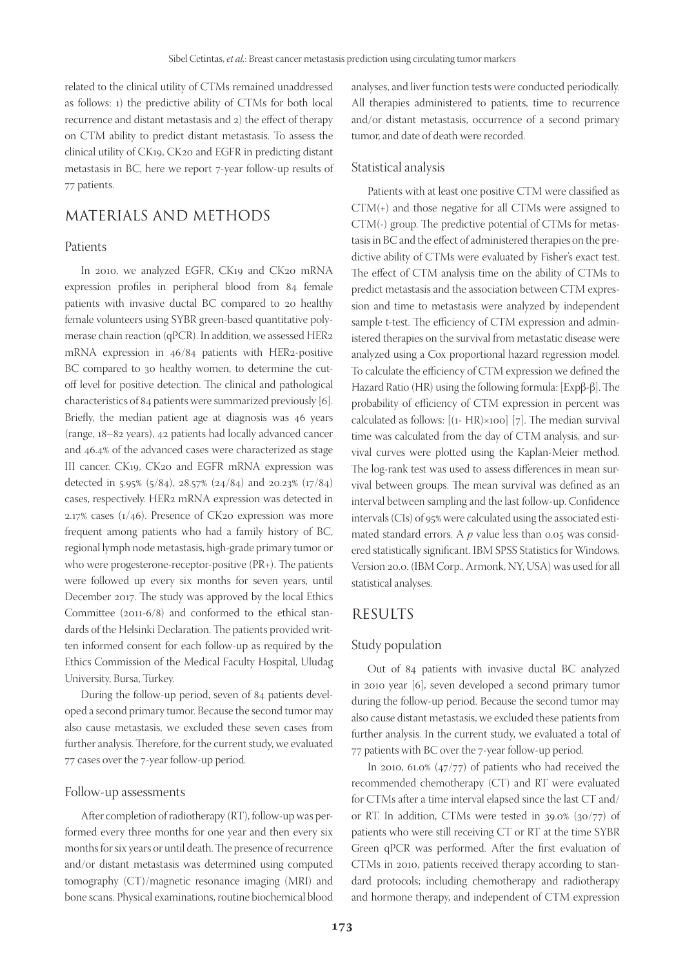related to the clinical utility of CTMs remained unaddressed as follows: 1) the predictive ability of CTMs for both local recurrence and distant metastasis and 2) the effect of therapy on CTM ability to predict distant metastasis. To assess the clinical utility of CK19, CK20 and EGFR in predicting distant metastasis in BC, here we report 7-year follow-up results of 77 patients.

## MATERIALS AND METHODS

#### Patients

In 2010, we analyzed EGFR, CK19 and CK20 mRNA expression profiles in peripheral blood from 84 female patients with invasive ductal BC compared to 20 healthy female volunteers using SYBR green-based quantitative polymerase chain reaction (qPCR). In addition, we assessed HER2 mRNA expression in 46/84 patients with HER2-positive BC compared to 30 healthy women, to determine the cutoff level for positive detection. The clinical and pathological characteristics of 84 patients were summarized previously [6]. Briefly, the median patient age at diagnosis was 46 years (range, 18–82 years), 42 patients had locally advanced cancer and 46.4% of the advanced cases were characterized as stage III cancer. CK19, CK20 and EGFR mRNA expression was detected in 5.95% (5/84), 28.57% (24/84) and 20.23% (17/84) cases, respectively. HER2 mRNA expression was detected in 2.17% cases (1/46). Presence of CK20 expression was more frequent among patients who had a family history of BC, regional lymph node metastasis, high-grade primary tumor or who were progesterone-receptor-positive (PR+). The patients were followed up every six months for seven years, until December 2017. The study was approved by the local Ethics Committee (2011-6/8) and conformed to the ethical standards of the Helsinki Declaration. The patients provided written informed consent for each follow-up as required by the Ethics Commission of the Medical Faculty Hospital, Uludag University, Bursa, Turkey.

During the follow-up period, seven of 84 patients developed a second primary tumor. Because the second tumor may also cause metastasis, we excluded these seven cases from further analysis. Therefore, for the current study, we evaluated 77 cases over the 7-year follow-up period.

#### Follow-up assessments

After completion of radiotherapy (RT), follow-up was performed every three months for one year and then every six months for six years or until death. The presence of recurrence and/or distant metastasis was determined using computed tomography (CT)/magnetic resonance imaging (MRI) and bone scans. Physical examinations, routine biochemical blood analyses, and liver function tests were conducted periodically. All therapies administered to patients, time to recurrence and/or distant metastasis, occurrence of a second primary tumor, and date of death were recorded.

#### Statistical analysis

Patients with at least one positive CTM were classified as CTM(+) and those negative for all CTMs were assigned to CTM(-) group. The predictive potential of CTMs for metastasis in BC and the effect of administered therapies on the predictive ability of CTMs were evaluated by Fisher's exact test. The effect of CTM analysis time on the ability of CTMs to predict metastasis and the association between CTM expression and time to metastasis were analyzed by independent sample t-test. The efficiency of CTM expression and administered therapies on the survival from metastatic disease were analyzed using a Cox proportional hazard regression model. To calculate the efficiency of CTM expression we defined the Hazard Ratio (HR) using the following formula: [Expβ-β]. The probability of efficiency of CTM expression in percent was calculated as follows: [(1- HR)×100] [7]. The median survival time was calculated from the day of CTM analysis, and survival curves were plotted using the Kaplan-Meier method. The log-rank test was used to assess differences in mean survival between groups. The mean survival was defined as an interval between sampling and the last follow-up. Confidence intervals (CIs) of 95% were calculated using the associated estimated standard errors. A  $p$  value less than 0.05 was considered statistically significant. IBM SPSS Statistics for Windows, Version 20.0. (IBM Corp., Armonk, NY, USA) was used for all statistical analyses.

#### RESULTS

#### Study population

Out of 84 patients with invasive ductal BC analyzed in 2010 year [6], seven developed a second primary tumor during the follow-up period. Because the second tumor may also cause distant metastasis, we excluded these patients from further analysis. In the current study, we evaluated a total of 77 patients with BC over the 7-year follow-up period.

In 2010, 61.0% (47/77) of patients who had received the recommended chemotherapy (CT) and RT were evaluated for CTMs after a time interval elapsed since the last CT and/ or RT. In addition, CTMs were tested in 39.0% (30/77) of patients who were still receiving CT or RT at the time SYBR Green qPCR was performed. After the first evaluation of CTMs in 2010, patients received therapy according to standard protocols; including chemotherapy and radiotherapy and hormone therapy, and independent of CTM expression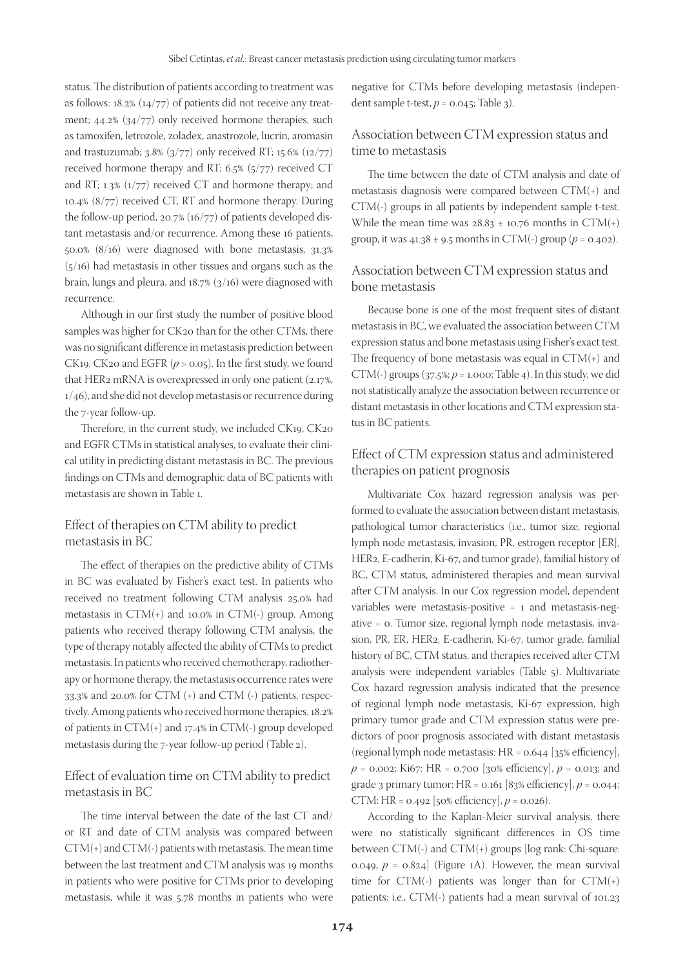status. The distribution of patients according to treatment was as follows: 18.2% (14/77) of patients did not receive any treatment; 44.2% (34/77) only received hormone therapies, such as tamoxifen, letrozole, zoladex, anastrozole, lucrin, aromasin and trastuzumab;  $3.8\%$  ( $3/77$ ) only received RT;  $15.6\%$  ( $12/77$ ) received hormone therapy and RT; 6.5% (5/77) received CT and RT; 1.3% (1/77) received CT and hormone therapy; and 10.4% (8/77) received CT, RT and hormone therapy. During the follow-up period, 20.7% (16/77) of patients developed distant metastasis and/or recurrence. Among these 16 patients, 50.0% (8/16) were diagnosed with bone metastasis, 31.3% (5/16) had metastasis in other tissues and organs such as the brain, lungs and pleura, and 18.7% (3/16) were diagnosed with recurrence.

Although in our first study the number of positive blood samples was higher for CK20 than for the other CTMs, there was no significant difference in metastasis prediction between CK19, CK20 and EGFR (*p* > 0.05). In the first study, we found that HER2 mRNA is overexpressed in only one patient (2.17%, 1/46), and she did not develop metastasis or recurrence during the 7-year follow-up.

Therefore, in the current study, we included CK19, CK20 and EGFR CTMs in statistical analyses, to evaluate their clinical utility in predicting distant metastasis in BC. The previous findings on CTMs and demographic data of BC patients with metastasis are shown in Table 1.

### Effect of therapies on CTM ability to predict metastasis in BC

The effect of therapies on the predictive ability of CTMs in BC was evaluated by Fisher's exact test. In patients who received no treatment following CTM analysis 25.0% had metastasis in  $CTM(+)$  and 10.0% in  $CTM(+)$  group. Among patients who received therapy following CTM analysis, the type of therapy notably affected the ability of CTMs to predict metastasis. In patients who received chemotherapy, radiotherapy or hormone therapy, the metastasis occurrence rates were 33.3% and 20.0% for CTM (+) and CTM (-) patients, respectively. Among patients who received hormone therapies, 18.2% of patients in CTM(+) and 17.4% in CTM(-) group developed metastasis during the 7-year follow-up period (Table 2).

#### Effect of evaluation time on CTM ability to predict metastasis in BC

The time interval between the date of the last CT and/ or RT and date of CTM analysis was compared between  $CTM(+)$  and  $CTM(-)$  patients with metastasis. The mean time between the last treatment and CTM analysis was 19 months in patients who were positive for CTMs prior to developing metastasis, while it was 5.78 months in patients who were

negative for CTMs before developing metastasis (independent sample t-test,  $p = 0.045$ ; Table 3).

#### Association between CTM expression status and time to metastasis

The time between the date of CTM analysis and date of metastasis diagnosis were compared between CTM(+) and CTM(-) groups in all patients by independent sample t-test. While the mean time was  $28.83 \pm 10.76$  months in CTM(+) group, it was  $41.38 \pm 9.5$  months in CTM(-) group ( $p = 0.402$ ).

#### Association between CTM expression status and bone metastasis

Because bone is one of the most frequent sites of distant metastasis in BC, we evaluated the association between CTM expression status and bone metastasis using Fisher's exact test. The frequency of bone metastasis was equal in  $CTM(+)$  and CTM(-) groups  $(37.5\%)$   $p = 1.000$ ; Table 4). In this study, we did not statistically analyze the association between recurrence or distant metastasis in other locations and CTM expression status in BC patients.

### Effect of CTM expression status and administered therapies on patient prognosis

Multivariate Cox hazard regression analysis was performed to evaluate the association between distant metastasis, pathological tumor characteristics (i.e., tumor size, regional lymph node metastasis, invasion, PR, estrogen receptor [ER], HER2, E-cadherin, Ki-67, and tumor grade), familial history of BC, CTM status, administered therapies and mean survival after CTM analysis. In our Cox regression model, dependent variables were metastasis-positive = 1 and metastasis-negative = 0. Tumor size, regional lymph node metastasis, invasion, PR, ER, HER2, E-cadherin, Ki-67, tumor grade, familial history of BC, CTM status, and therapies received after CTM analysis were independent variables (Table 5). Multivariate Cox hazard regression analysis indicated that the presence of regional lymph node metastasis, Ki-67 expression, high primary tumor grade and CTM expression status were predictors of poor prognosis associated with distant metastasis (regional lymph node metastasis: HR = 0.644 [35% efficiency], *p* = 0.002; Ki67: HR = 0.700 [30% efficiency], *p* = 0.013; and grade 3 primary tumor: HR = 0.161 [83% efficiency], *p* = 0.044; CTM: HR = 0.492 [50% efficiency], *p* = 0.026).

According to the Kaplan-Meier survival analysis, there were no statistically significant differences in OS time between CTM(-) and CTM(+) groups [log rank: Chi-square: 0.049,  $p = 0.824$  (Figure 1A). However, the mean survival time for  $CTM(-)$  patients was longer than for  $CTM(+)$ patients; i.e., CTM(-) patients had a mean survival of 101.23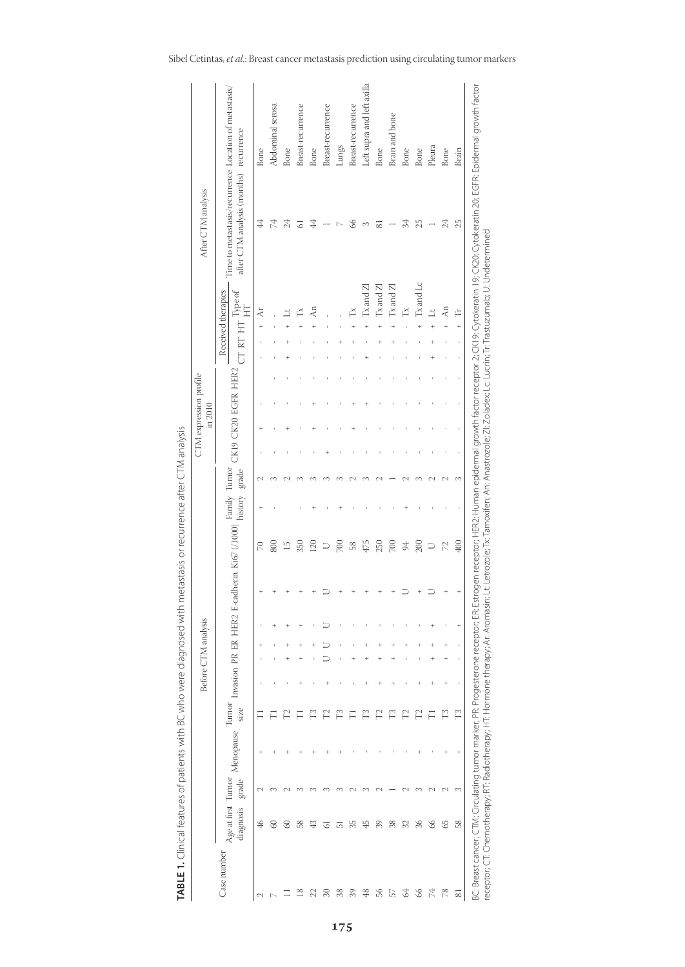|                  |                                 |        |           |               |             | Before CTM analysis    |                  |                         |               |                         |       | in 2010 | CTM expression profile |           |                                                         | After CTM analysis                                                                              |                            |
|------------------|---------------------------------|--------|-----------|---------------|-------------|------------------------|------------------|-------------------------|---------------|-------------------------|-------|---------|------------------------|-----------|---------------------------------------------------------|-------------------------------------------------------------------------------------------------|----------------------------|
| Case number      | Age at first Tumor<br>diagnosis | grade  | Menopause | Tumor<br>size | Invasion PR | $E\overline{R}$        | HER <sub>2</sub> | E-cadherin Ki67 (/1000) |               | Family Tumor<br>history | grade |         | CK19 CK20 EGFR HER2    | CT RT     | Received therapies<br>$\cdot$ $_{\rm HT}$ Type of<br>HT | Time to metastasis/recurrence Location of metastasis/<br>after CTM analysis (months) recurrence |                            |
| 2                | ₽                               |        |           |               |             |                        |                  |                         | $\approx$     |                         |       |         |                        | $\ddot{}$ | $\lambda$ r                                             | 4                                                                                               | Bone                       |
| $\triangleright$ | 8                               |        |           |               |             |                        |                  |                         | 800           |                         |       |         |                        |           |                                                         | 4                                                                                               | Abdominal serosa           |
|                  | 8                               |        |           |               |             | +                      |                  |                         | IJ            |                         |       |         |                        |           |                                                         | 24                                                                                              | Bone                       |
| ≌                | 58                              |        |           |               |             | ÷<br>$^{+}$            |                  |                         | 350           |                         |       |         |                        |           | ≊                                                       | 5                                                                                               | Breast-recurrence          |
|                  | ₩                               |        |           |               |             |                        |                  |                         | 120           |                         |       |         |                        |           | ξ                                                       | 4                                                                                               | Bone                       |
| Z                | 5                               |        |           |               |             |                        |                  |                         |               |                         |       |         |                        |           |                                                         |                                                                                                 | Breast-recurrence          |
| 38               | 5                               |        |           | r             |             |                        |                  |                         | $700\,$       |                         |       |         |                        |           |                                                         |                                                                                                 | Lungs                      |
| 39               | 35                              |        |           |               |             |                        |                  |                         | 58            |                         |       |         |                        |           | Ř                                                       | 66                                                                                              | Breast-recurrence          |
| $\frac{8}{5}$    | 쑵                               |        |           | r             | $^{+}$      | +                      |                  |                         | 475           |                         |       |         |                        |           | $Tx$ and $Z$                                            | 3                                                                                               | Left supra and left axilla |
| 56               | 39                              |        |           |               | $^{+}$      | $\ddot{}$<br>$\ddot{}$ |                  |                         | 250           |                         |       |         |                        |           | $Tx$ and $Zl$                                           | ವ                                                                                               | Bone                       |
| 57               | 38                              |        |           | Ë             |             | +                      |                  |                         | 700           |                         |       |         |                        |           | $Tx$ and $Zl$                                           |                                                                                                 | Brain and bone             |
| Z                | 32                              |        |           | $\Gamma$      |             | +                      |                  |                         | 94            |                         |       |         |                        |           | Ř                                                       | 34                                                                                              | <b>Bone</b>                |
| 8                | 36                              |        |           |               | ÷           |                        |                  |                         | 200           |                         |       |         |                        |           | Tx and Lc                                               | 25                                                                                              | Bone                       |
| 74               | 8                               |        |           |               | ÷           | +<br>$^{+}$            |                  |                         | コ             |                         |       |         |                        |           | $\exists$                                               |                                                                                                 | Pleura                     |
| 78               | S                               | $\sim$ |           | Ë             |             | $\ddot{}$<br>$^{+}$    |                  |                         | $\mathbb{Z}$  |                         |       |         |                        |           | $\overline{A}$ n                                        | 24                                                                                              | Bone                       |
| $\overline{8}$   | 58                              | 3      | ÷         | Ë             |             | $\mathbf{t}$           | $\ddot{}$        | $^{+}$                  | $rac{400}{2}$ |                         | 3     |         |                        | $\ddot{}$ | Ė                                                       | 25                                                                                              | Brain                      |

| i                        |
|--------------------------|
|                          |
|                          |
|                          |
|                          |
|                          |
|                          |
|                          |
|                          |
|                          |
|                          |
|                          |
|                          |
|                          |
|                          |
|                          |
|                          |
|                          |
|                          |
|                          |
|                          |
|                          |
| I                        |
| $\overline{a}$           |
|                          |
|                          |
|                          |
|                          |
|                          |
|                          |
|                          |
|                          |
|                          |
|                          |
|                          |
| Ī                        |
| $\overline{\phantom{a}}$ |
|                          |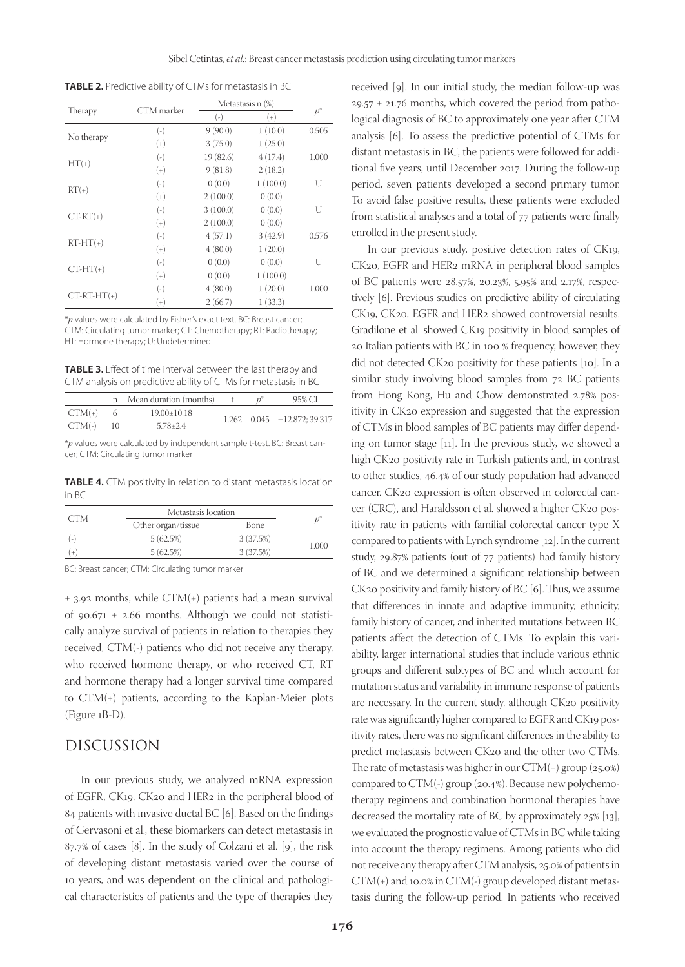**TABLE 2.** Predictive ability of CTMs for metastasis in BC

|               | CTM marker |           | Metastasis n (%) |       |  |
|---------------|------------|-----------|------------------|-------|--|
| Therapy       |            | $(-)$     | $(+)$            | $p^*$ |  |
|               | $(-)$      | 9(90.0)   | 1(10.0)          | 0.505 |  |
| No therapy    | $^{(+)}$   | 3(75.0)   | 1(25.0)          |       |  |
|               | $(-)$      | 19 (82.6) | 4(17.4)          | 1.000 |  |
| $HT(+)$       | $(+)$      | 9(81.8)   | 2(18.2)          |       |  |
|               | $(-)$      | 0(0.0)    | 1(100.0)         | U     |  |
| $RT(+)$       | $^{(+)}$   | 2(100.0)  | 0(0.0)           |       |  |
| $CT-RT(+)$    | $(-)$      | 3(100.0)  | 0(0.0)           | U     |  |
|               | $^{(+)}$   | 2(100.0)  | 0(0.0)           |       |  |
|               | $(-)$      | 4(57.1)   | 3(42.9)          | 0.576 |  |
| $RT-HT(+)$    | $^{(+)}$   | 4(80.0)   | 1(20.0)          |       |  |
|               | $(-)$      | 0(0.0)    | 0(0.0)           | U     |  |
| $CT-HT(+)$    | $^{(+)}$   | 0(0.0)    | 1(100.0)         |       |  |
|               | $(-)$      | 4(80.0)   | 1(20.0)          | 1.000 |  |
| $CT-RT-HT(+)$ | $^{(+)}$   | 2(66.7)   | 1(33.3)          |       |  |

\**p* values were calculated by Fisher's exact text. BC: Breast cancer; CTM: Circulating tumor marker; CT: Chemotherapy; RT: Radiotherapy; HT: Hormone therapy; U: Undetermined

**TABLE 3.** Effect of time interval between the last therapy and CTM analysis on predictive ability of CTMs for metastasis in BC

|          | Mean duration (months) |  | 95% CI                            |
|----------|------------------------|--|-----------------------------------|
| $CTM(+)$ | $19.00 \pm 10.18$      |  |                                   |
| $CTM(-)$ | $5.78 \pm 2.4$         |  | $1.262$ $0.045$ $-12.872; 39.317$ |

\**p* values were calculated by independent sample t-test. BC: Breast cancer; CTM: Circulating tumor marker

**TABLE 4.** CTM positivity in relation to distant metastasis location in BC

|     | Metastasis location |           |       |
|-----|---------------------|-----------|-------|
| CTM | Other organ/tissue  | Bone      |       |
| l-  | 5(62.5%)            | 3 (37.5%) |       |
|     | 5(62.5%)            | 3 (37.5%) | 1.000 |

BC: Breast cancer; CTM: Circulating tumor marker

 $±$  3.92 months, while CTM(+) patients had a mean survival of 90.671  $\pm$  2.66 months. Although we could not statistically analyze survival of patients in relation to therapies they received, CTM(-) patients who did not receive any therapy, who received hormone therapy, or who received CT, RT and hormone therapy had a longer survival time compared to CTM(+) patients, according to the Kaplan-Meier plots (Figure 1B-D).

#### DISCUSSION

In our previous study, we analyzed mRNA expression of EGFR, CK19, CK20 and HER2 in the peripheral blood of 84 patients with invasive ductal BC [6]. Based on the findings of Gervasoni et al., these biomarkers can detect metastasis in 87.7% of cases [8]. In the study of Colzani et al. [9], the risk of developing distant metastasis varied over the course of 10 years, and was dependent on the clinical and pathological characteristics of patients and the type of therapies they

received [9]. In our initial study, the median follow-up was 29.57  $\pm$  21.76 months, which covered the period from pathological diagnosis of BC to approximately one year after CTM analysis [6]. To assess the predictive potential of CTMs for distant metastasis in BC, the patients were followed for additional five years, until December 2017. During the follow-up period, seven patients developed a second primary tumor. To avoid false positive results, these patients were excluded from statistical analyses and a total of 77 patients were finally enrolled in the present study.

In our previous study, positive detection rates of CK19, CK20, EGFR and HER2 mRNA in peripheral blood samples of BC patients were 28.57%, 20.23%, 5.95% and 2.17%, respectively [6]. Previous studies on predictive ability of circulating CK19, CK20, EGFR and HER2 showed controversial results. Gradilone et al. showed CK19 positivity in blood samples of 20 Italian patients with BC in 100 % frequency, however, they did not detected CK20 positivity for these patients [10]. In a similar study involving blood samples from 72 BC patients from Hong Kong, Hu and Chow demonstrated 2.78% positivity in CK20 expression and suggested that the expression of CTMs in blood samples of BC patients may differ depending on tumor stage [11]. In the previous study, we showed a high CK20 positivity rate in Turkish patients and, in contrast to other studies, 46.4% of our study population had advanced cancer. CK20 expression is often observed in colorectal cancer (CRC), and Haraldsson et al. showed a higher CK20 positivity rate in patients with familial colorectal cancer type X compared to patients with Lynch syndrome [12]. In the current study, 29.87% patients (out of 77 patients) had family history of BC and we determined a significant relationship between CK20 positivity and family history of BC [6]. Thus, we assume that differences in innate and adaptive immunity, ethnicity, family history of cancer, and inherited mutations between BC patients affect the detection of CTMs. To explain this variability, larger international studies that include various ethnic groups and different subtypes of BC and which account for mutation status and variability in immune response of patients are necessary. In the current study, although CK20 positivity rate was significantly higher compared to EGFR and CK19 positivity rates, there was no significant differences in the ability to predict metastasis between CK20 and the other two CTMs. The rate of metastasis was higher in our CTM(+) group (25.0%) compared to CTM(-) group (20.4%). Because new polychemotherapy regimens and combination hormonal therapies have decreased the mortality rate of BC by approximately 25% [13], we evaluated the prognostic value of CTMs in BC while taking into account the therapy regimens. Among patients who did not receive any therapy after CTM analysis, 25.0% of patients in CTM(+) and 10.0% in CTM(-) group developed distant metastasis during the follow-up period. In patients who received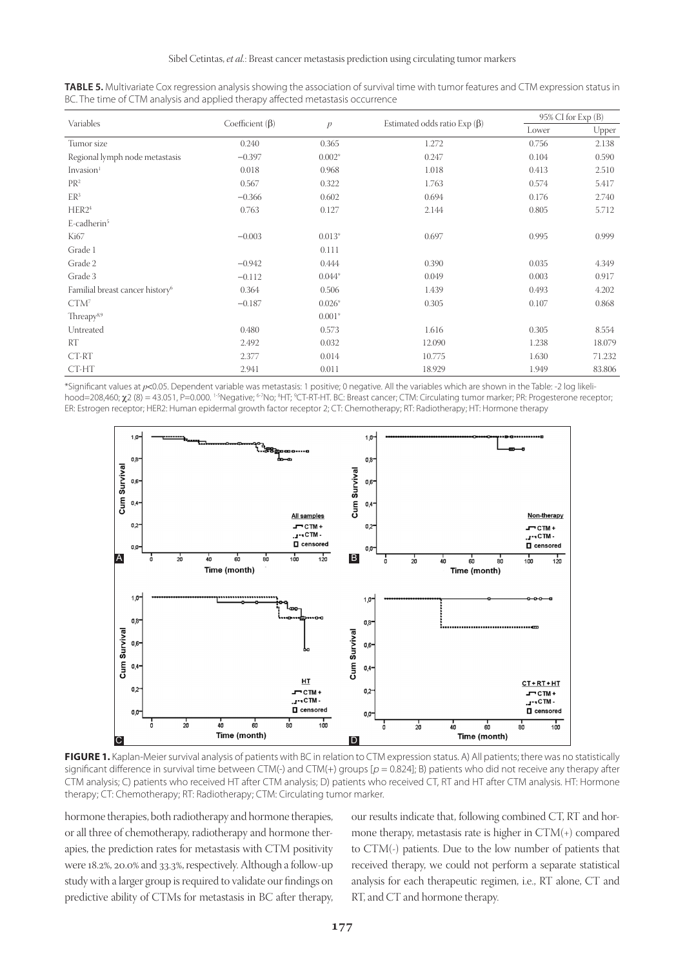|                                             |                       |              |                                    |       | 95% CI for Exp (B) |
|---------------------------------------------|-----------------------|--------------|------------------------------------|-------|--------------------|
| Variables                                   | Coefficient $(\beta)$ | $\mathbf{p}$ | Estimated odds ratio Exp $(\beta)$ | Lower | Upper              |
| Tumor size                                  | 0.240                 | 0.365        | 1.272                              | 0.756 | 2.138              |
| Regional lymph node metastasis              | $-0.397$              | $0.002*$     | 0.247                              | 0.104 | 0.590              |
| Invasion <sup>1</sup>                       | 0.018                 | 0.968        | 1.018                              | 0.413 | 2.510              |
| PR <sup>2</sup>                             | 0.567                 | 0.322        | 1.763                              | 0.574 | 5.417              |
| ER <sup>3</sup>                             | $-0.366$              | 0.602        | 0.694                              | 0.176 | 2.740              |
| HER2 <sup>4</sup>                           | 0.763                 | 0.127        | 2.144                              | 0.805 | 5.712              |
| E-cadherin <sup>5</sup>                     |                       |              |                                    |       |                    |
| Ki67                                        | $-0.003$              | $0.013*$     | 0.697                              | 0.995 | 0.999              |
| Grade 1                                     |                       | 0.111        |                                    |       |                    |
| Grade 2                                     | $-0.942$              | 0.444        | 0.390                              | 0.035 | 4.349              |
| Grade 3                                     | $-0.112$              | $0.044*$     | 0.049                              | 0.003 | 0.917              |
| Familial breast cancer history <sup>6</sup> | 0.364                 | 0.506        | 1.439                              | 0.493 | 4.202              |
| CTM <sup>7</sup>                            | $-0.187$              | $0.026*$     | 0.305                              | 0.107 | 0.868              |
| Threapy <sup>8,9</sup>                      |                       | $0.001*$     |                                    |       |                    |
| Untreated                                   | 0.480                 | 0.573        | 1.616                              | 0.305 | 8.554              |
| RT                                          | 2.492                 | 0.032        | 12.090                             | 1.238 | 18.079             |
| CT-RT                                       | 2.377                 | 0.014        | 10.775                             | 1.630 | 71.232             |
| CT-HT                                       | 2.941                 | 0.011        | 18.929                             | 1.949 | 83.806             |

**TABLE 5.** Multivariate Cox regression analysis showing the association of survival time with tumor features and CTM expression status in BC. The time of CTM analysis and applied therapy affected metastasis occurrence

\*Significant values at *p*<0.05. Dependent variable was metastasis: 1 positive; 0 negative. All the variables which are shown in the Table: -2 log likelihood=208,460; χ2 (8) = 43.051, P=0.000. 1-5Negative; <sup>6-7</sup>No; <sup>8</sup>HT; <sup>9</sup>CT-RT-HT. BC: Breast cancer; CTM: Circulating tumor marker; PR: Progesterone receptor; ER: Estrogen receptor; HER2: Human epidermal growth factor receptor 2; CT: Chemotherapy; RT: Radiotherapy; HT: Hormone therapy



FIGURE 1. Kaplan-Meier survival analysis of patients with BC in relation to CTM expression status. A) All patients; there was no statistically significant difference in survival time between CTM(-) and CTM(+) groups  $[p = 0.824]$ ; B) patients who did not receive any therapy after CTM analysis; C) patients who received HT after CTM analysis; D) patients who received CT, RT and HT after CTM analysis. HT: Hormone therapy; CT: Chemotherapy; RT: Radiotherapy; CTM: Circulating tumor marker.

hormone therapies, both radiotherapy and hormone therapies, or all three of chemotherapy, radiotherapy and hormone therapies, the prediction rates for metastasis with CTM positivity were 18.2%, 20.0% and 33.3%, respectively. Although a follow-up study with a larger group is required to validate our findings on predictive ability of CTMs for metastasis in BC after therapy,

our results indicate that, following combined CT, RT and hormone therapy, metastasis rate is higher in CTM(+) compared to CTM(-) patients. Due to the low number of patients that received therapy, we could not perform a separate statistical analysis for each therapeutic regimen, i.e., RT alone, CT and RT, and CT and hormone therapy.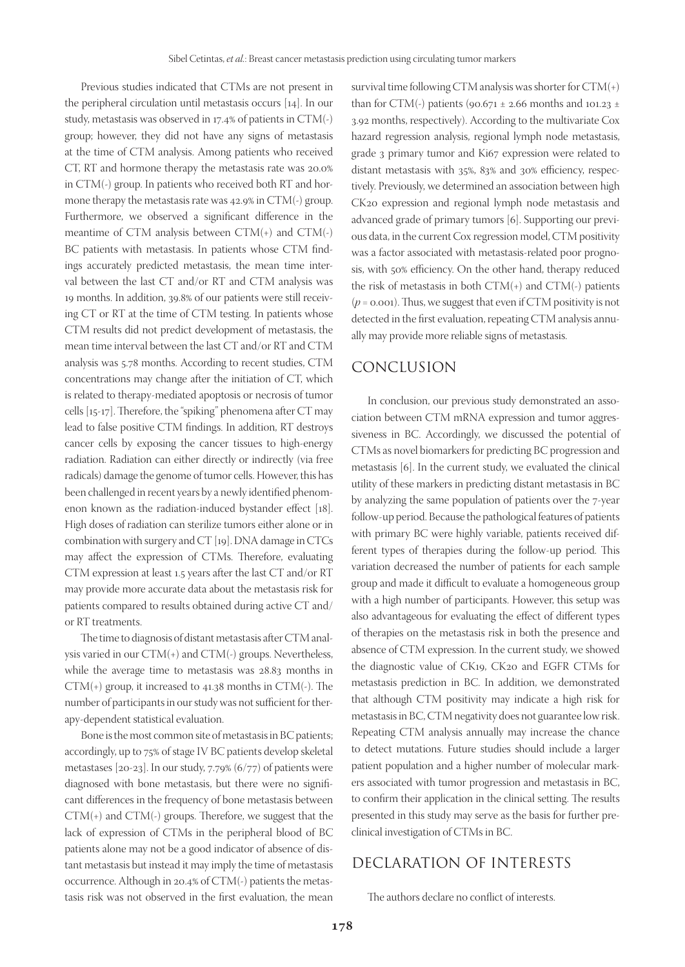Previous studies indicated that CTMs are not present in the peripheral circulation until metastasis occurs [14]. In our study, metastasis was observed in 17.4% of patients in CTM(-) group; however, they did not have any signs of metastasis at the time of CTM analysis. Among patients who received CT, RT and hormone therapy the metastasis rate was 20.0% in CTM(-) group. In patients who received both RT and hormone therapy the metastasis rate was 42.9% in CTM(-) group. Furthermore, we observed a significant difference in the meantime of CTM analysis between CTM(+) and CTM(-) BC patients with metastasis. In patients whose CTM findings accurately predicted metastasis, the mean time interval between the last CT and/or RT and CTM analysis was 19 months. In addition, 39.8% of our patients were still receiving CT or RT at the time of CTM testing. In patients whose CTM results did not predict development of metastasis, the mean time interval between the last CT and/or RT and CTM analysis was 5.78 months. According to recent studies, CTM concentrations may change after the initiation of CT, which is related to therapy-mediated apoptosis or necrosis of tumor cells [15-17]. Therefore, the "spiking" phenomena after CT may lead to false positive CTM findings. In addition, RT destroys cancer cells by exposing the cancer tissues to high-energy radiation. Radiation can either directly or indirectly (via free radicals) damage the genome of tumor cells. However, this has been challenged in recent years by a newly identified phenomenon known as the radiation-induced bystander effect [18]. High doses of radiation can sterilize tumors either alone or in combination with surgery and CT [19]. DNA damage in CTCs may affect the expression of CTMs. Therefore, evaluating CTM expression at least 1.5 years after the last CT and/or RT may provide more accurate data about the metastasis risk for patients compared to results obtained during active CT and/ or RT treatments.

The time to diagnosis of distant metastasis after CTM analysis varied in our CTM(+) and CTM(-) groups. Nevertheless, while the average time to metastasis was 28.83 months in  $CTM(+)$  group, it increased to 41.38 months in  $CTM(-)$ . The number of participants in our study was not sufficient for therapy-dependent statistical evaluation.

Bone is the most common site of metastasis in BC patients; accordingly, up to 75% of stage IV BC patients develop skeletal metastases [20-23]. In our study, 7.79% (6/77) of patients were diagnosed with bone metastasis, but there were no significant differences in the frequency of bone metastasis between CTM(+) and CTM(-) groups. Therefore, we suggest that the lack of expression of CTMs in the peripheral blood of BC patients alone may not be a good indicator of absence of distant metastasis but instead it may imply the time of metastasis occurrence. Although in 20.4% of CTM(-) patients the metastasis risk was not observed in the first evaluation, the mean

survival time following CTM analysis was shorter for  $CTM(+)$ than for CTM(-) patients (90.671  $\pm$  2.66 months and 101.23  $\pm$ 3.92 months, respectively). According to the multivariate Cox hazard regression analysis, regional lymph node metastasis, grade 3 primary tumor and Ki67 expression were related to distant metastasis with 35%, 83% and 30% efficiency, respectively. Previously, we determined an association between high CK20 expression and regional lymph node metastasis and advanced grade of primary tumors [6]. Supporting our previous data, in the current Cox regression model, CTM positivity was a factor associated with metastasis-related poor prognosis, with 50% efficiency. On the other hand, therapy reduced the risk of metastasis in both  $CTM(+)$  and  $CTM(+)$  patients  $(p = 0.001)$ . Thus, we suggest that even if CTM positivity is not detected in the first evaluation, repeating CTM analysis annually may provide more reliable signs of metastasis.

#### CONCLUSION

In conclusion, our previous study demonstrated an association between CTM mRNA expression and tumor aggressiveness in BC. Accordingly, we discussed the potential of CTMs as novel biomarkers for predicting BC progression and metastasis [6]. In the current study, we evaluated the clinical utility of these markers in predicting distant metastasis in BC by analyzing the same population of patients over the 7-year follow-up period. Because the pathological features of patients with primary BC were highly variable, patients received different types of therapies during the follow-up period. This variation decreased the number of patients for each sample group and made it difficult to evaluate a homogeneous group with a high number of participants. However, this setup was also advantageous for evaluating the effect of different types of therapies on the metastasis risk in both the presence and absence of CTM expression. In the current study, we showed the diagnostic value of CK19, CK20 and EGFR CTMs for metastasis prediction in BC. In addition, we demonstrated that although CTM positivity may indicate a high risk for metastasis in BC, CTM negativity does not guarantee low risk. Repeating CTM analysis annually may increase the chance to detect mutations. Future studies should include a larger patient population and a higher number of molecular markers associated with tumor progression and metastasis in BC, to confirm their application in the clinical setting. The results presented in this study may serve as the basis for further preclinical investigation of CTMs in BC.

# DECLARATION OF INTERESTS

The authors declare no conflict of interests.